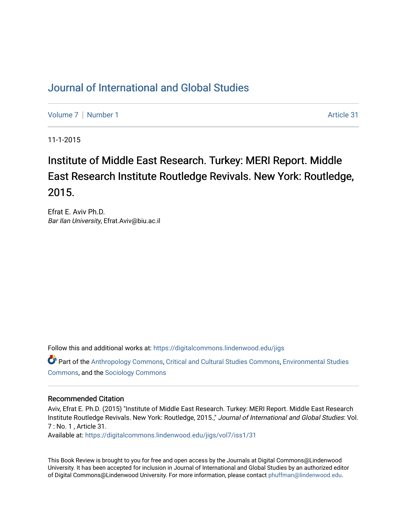## [Journal of International and Global Studies](https://digitalcommons.lindenwood.edu/jigs)

[Volume 7](https://digitalcommons.lindenwood.edu/jigs/vol7) | [Number 1](https://digitalcommons.lindenwood.edu/jigs/vol7/iss1) Article 31

11-1-2015

## Institute of Middle East Research. Turkey: MERI Report. Middle East Research Institute Routledge Revivals. New York: Routledge, 2015.

Efrat E. Aviv Ph.D. Bar Ilan University, Efrat.Aviv@biu.ac.il

Follow this and additional works at: [https://digitalcommons.lindenwood.edu/jigs](https://digitalcommons.lindenwood.edu/jigs?utm_source=digitalcommons.lindenwood.edu%2Fjigs%2Fvol7%2Fiss1%2F31&utm_medium=PDF&utm_campaign=PDFCoverPages) 

Part of the [Anthropology Commons](http://network.bepress.com/hgg/discipline/318?utm_source=digitalcommons.lindenwood.edu%2Fjigs%2Fvol7%2Fiss1%2F31&utm_medium=PDF&utm_campaign=PDFCoverPages), [Critical and Cultural Studies Commons](http://network.bepress.com/hgg/discipline/328?utm_source=digitalcommons.lindenwood.edu%2Fjigs%2Fvol7%2Fiss1%2F31&utm_medium=PDF&utm_campaign=PDFCoverPages), [Environmental Studies](http://network.bepress.com/hgg/discipline/1333?utm_source=digitalcommons.lindenwood.edu%2Fjigs%2Fvol7%2Fiss1%2F31&utm_medium=PDF&utm_campaign=PDFCoverPages)  [Commons](http://network.bepress.com/hgg/discipline/1333?utm_source=digitalcommons.lindenwood.edu%2Fjigs%2Fvol7%2Fiss1%2F31&utm_medium=PDF&utm_campaign=PDFCoverPages), and the [Sociology Commons](http://network.bepress.com/hgg/discipline/416?utm_source=digitalcommons.lindenwood.edu%2Fjigs%2Fvol7%2Fiss1%2F31&utm_medium=PDF&utm_campaign=PDFCoverPages)

## Recommended Citation

Aviv, Efrat E. Ph.D. (2015) "Institute of Middle East Research. Turkey: MERI Report. Middle East Research Institute Routledge Revivals. New York: Routledge, 2015.," Journal of International and Global Studies: Vol. 7 : No. 1 , Article 31.

Available at: [https://digitalcommons.lindenwood.edu/jigs/vol7/iss1/31](https://digitalcommons.lindenwood.edu/jigs/vol7/iss1/31?utm_source=digitalcommons.lindenwood.edu%2Fjigs%2Fvol7%2Fiss1%2F31&utm_medium=PDF&utm_campaign=PDFCoverPages) 

This Book Review is brought to you for free and open access by the Journals at Digital Commons@Lindenwood University. It has been accepted for inclusion in Journal of International and Global Studies by an authorized editor of Digital Commons@Lindenwood University. For more information, please contact [phuffman@lindenwood.edu](mailto:phuffman@lindenwood.edu).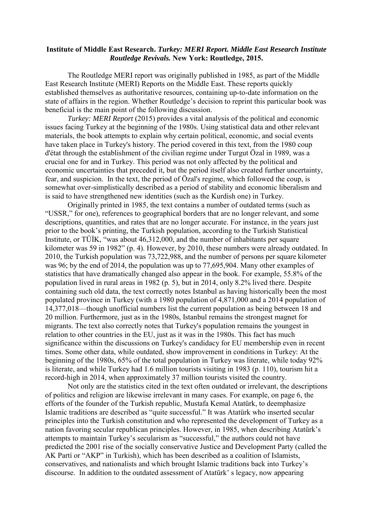## **Institute of Middle East Research.** *Turkey: MERI Report. Middle East Research Institute Routledge Revivals.* **New York: Routledge, 2015.**

The Routledge MERI report was originally published in 1985, as part of the Middle East Research Institute (MERI) Reports on the Middle East. These reports quickly established themselves as authoritative resources, containing up-to-date information on the state of affairs in the region. Whether Routledge's decision to reprint this particular book was beneficial is the main point of the following discussion.

*Turkey: MERI Report* (2015) provides a vital analysis of the political and economic issues facing Turkey at the beginning of the 1980s. Using statistical data and other relevant materials, the book attempts to explain why certain political, economic, and social events have taken place in Turkey's history. The period covered in this text, from the 1980 coup d'état through the establishment of the civilian regime under Turgut Özal in 1989, was a crucial one for and in Turkey. This period was not only affected by the political and economic uncertainties that preceded it, but the period itself also created further uncertainty, fear, and suspicion. In the text, the period of Özal's regime, which followed the coup, is somewhat over-simplistically described as a period of stability and economic liberalism and is said to have strengthened new identities (such as the Kurdish one) in Turkey.

Originally printed in 1985, the text contains a number of outdated terms (such as "USSR," for one), references to geographical borders that are no longer relevant, and some descriptions, quantities, and rates that are no longer accurate. For instance, in the years just prior to the book's printing, the Turkish population, according to the Turkish Statistical Institute, or TÜİK, "was about 46,312,000, and the number of inhabitants per square kilometer was 59 in 1982" (p. 4). However, by 2010, these numbers were already outdated. In 2010, the Turkish population was 73,722,988, and the number of persons per square kilometer was 96; by the end of 2014, the population was up to 77,695,904. Many other examples of statistics that have dramatically changed also appear in the book. For example, 55.8% of the population lived in rural areas in 1982 (p. 5), but in 2014, only 8.2% lived there. Despite containing such old data, the text correctly notes Istanbul as having historically been the most populated province in Turkey (with a 1980 population of 4,871,000 and a 2014 population of 14,377,018—though unofficial numbers list the current population as being between 18 and 20 million. Furthermore, just as in the 1980s, Istanbul remains the strongest magnet for migrants. The text also correctly notes that Turkey's population remains the youngest in relation to other countries in the EU, just as it was in the 1980s. This fact has much significance within the discussions on Turkey's candidacy for EU membership even in recent times. Some other data, while outdated, show improvement in conditions in Turkey: At the beginning of the 1980s, 65% of the total population in Turkey was literate, while today 92% is literate, and while Turkey had 1.6 million tourists visiting in 1983 (p. 110), tourism hit a record-high in 2014, when approximately 37 million tourists visited the country.

Not only are the statistics cited in the text often outdated or irrelevant, the descriptions of politics and religion are likewise irrelevant in many cases. For example, on page 6, the efforts of the founder of the Turkish republic, Mustafa Kemal Atatürk, to deemphasize Islamic traditions are described as "quite successful." It was Atatürk who inserted secular principles into the Turkish constitution and who represented the development of Turkey as a nation favoring secular republican principles. However, in 1985, when describing Atatürk's attempts to maintain Turkey's secularism as "successful," the authors could not have predicted the 2001 rise of the socially conservative Justice and Development Party (called the AK Partí or "AKP" in Turkish), which has been described as a coalition of Islamists, conservatives, and nationalists and which brought Islamic traditions back into Turkey's discourse. In addition to the outdated assessment of Atatürk' s legacy, now appearing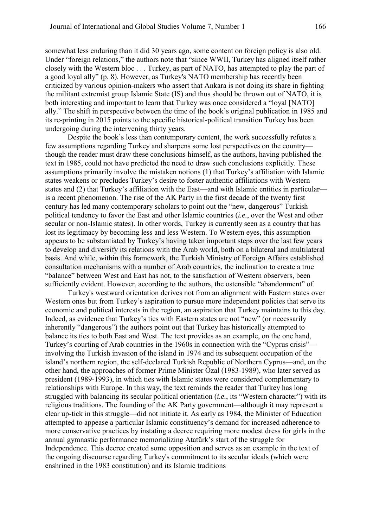somewhat less enduring than it did 30 years ago, some content on foreign policy is also old. Under "foreign relations," the authors note that "since WWII, Turkey has aligned itself rather closely with the Western bloc . . . Turkey, as part of NATO, has attempted to play the part of a good loyal ally" (p. 8). However, as Turkey's NATO membership has recently been criticized by various opinion-makers who assert that Ankara is not doing its share in fighting the militant extremist group Islamic State (IS) and thus should be thrown out of NATO, it is both interesting and important to learn that Turkey was once considered a "loyal [NATO] ally." The shift in perspective between the time of the book's original publication in 1985 and its re-printing in 2015 points to the specific historical-political transition Turkey has been undergoing during the intervening thirty years.

Despite the book's less than contemporary content, the work successfully refutes a few assumptions regarding Turkey and sharpens some lost perspectives on the country though the reader must draw these conclusions himself, as the authors, having published the text in 1985, could not have predicted the need to draw such conclusions explicitly. These assumptions primarily involve the mistaken notions (1) that Turkey's affiliation with Islamic states weakens or precludes Turkey's desire to foster authentic affiliations with Western states and (2) that Turkey's affiliation with the East—and with Islamic entities in particular is a recent phenomenon. The rise of the AK Party in the first decade of the twenty first century has led many contemporary scholars to point out the "new, dangerous" Turkish political tendency to favor the East and other Islamic countries (*i.e.*, over the West and other secular or non-Islamic states). In other words, Turkey is currently seen as a country that has lost its legitimacy by becoming less and less Western. To Western eyes, this assumption appears to be substantiated by Turkey's having taken important steps over the last few years to develop and diversify its relations with the Arab world, both on a bilateral and multilateral basis. And while, within this framework, the Turkish Ministry of Foreign Affairs established consultation mechanisms with a number of Arab countries, the inclination to create a true "balance" between West and East has not, to the satisfaction of Western observers, been sufficiently evident. However, according to the authors, the ostensible "abandonment" of.

Turkey's westward orientation derives not from an alignment with Eastern states over Western ones but from Turkey's aspiration to pursue more independent policies that serve its economic and political interests in the region, an aspiration that Turkey maintains to this day. Indeed, as evidence that Turkey's ties with Eastern states are not "new" (or necessarily inherently "dangerous") the authors point out that Turkey has historically attempted to balance its ties to both East and West. The text provides as an example, on the one hand, Turkey's courting of Arab countries in the 1960s in connection with the "Cyprus crisis" involving the Turkish invasion of the island in 1974 and its subsequent occupation of the island's northern region, the self-declared Turkish Republic of Northern Cyprus—and, on the other hand, the approaches of former Prime Minister Özal (1983-1989), who later served as president (1989-1993), in which ties with Islamic states were considered complementary to relationships with Europe. In this way, the text reminds the reader that Turkey has long struggled with balancing its secular political orientation (*i.e.*, its "Western character") with its religious traditions. The founding of the AK Party government—although it may represent a clear up-tick in this struggle—did not initiate it. As early as 1984, the Minister of Education attempted to appease a particular Islamic constituency's demand for increased adherence to more conservative practices by instating a decree requiring more modest dress for girls in the annual gymnastic performance memorializing Atatürk's start of the struggle for Independence. This decree created some opposition and serves as an example in the text of the ongoing discourse regarding Turkey's commitment to its secular ideals (which were enshrined in the 1983 constitution) and its Islamic traditions